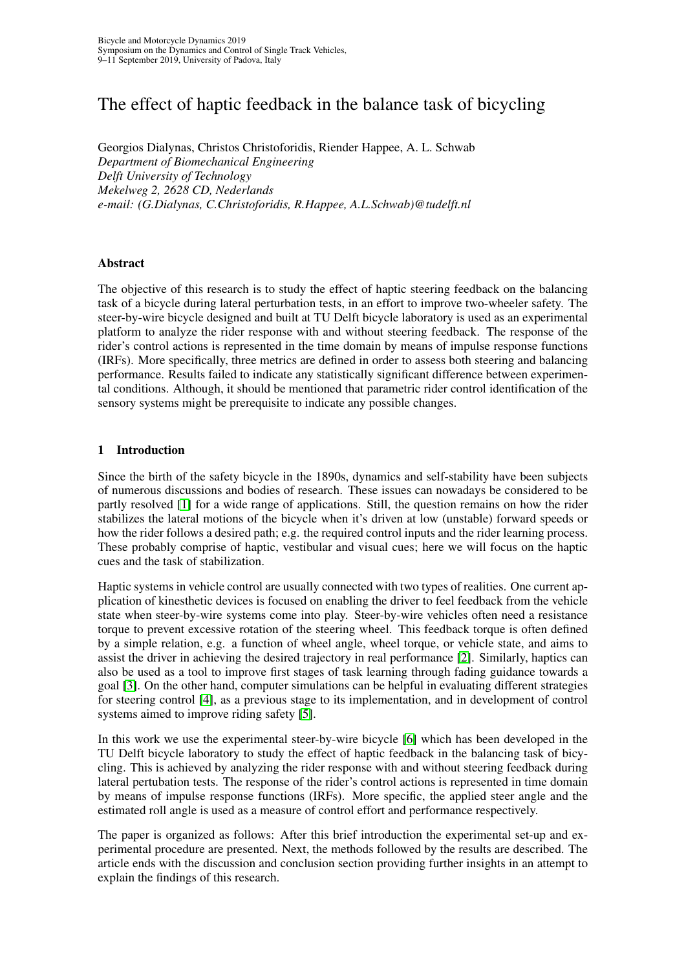# The effect of haptic feedback in the balance task of bicycling

Georgios Dialynas, Christos Christoforidis, Riender Happee, A. L. Schwab *Department of Biomechanical Engineering Delft University of Technology Mekelweg 2, 2628 CD, Nederlands e-mail: (G.Dialynas, C.Christoforidis, R.Happee, A.L.Schwab)@tudelft.nl*

#### Abstract

The objective of this research is to study the effect of haptic steering feedback on the balancing task of a bicycle during lateral perturbation tests, in an effort to improve two-wheeler safety. The steer-by-wire bicycle designed and built at TU Delft bicycle laboratory is used as an experimental platform to analyze the rider response with and without steering feedback. The response of the rider's control actions is represented in the time domain by means of impulse response functions (IRFs). More specifically, three metrics are defined in order to assess both steering and balancing performance. Results failed to indicate any statistically significant difference between experimental conditions. Although, it should be mentioned that parametric rider control identification of the sensory systems might be prerequisite to indicate any possible changes.

#### 1 Introduction

Since the birth of the safety bicycle in the 1890s, dynamics and self-stability have been subjects of numerous discussions and bodies of research. These issues can nowadays be considered to be partly resolved [\[1\]](#page-7-0) for a wide range of applications. Still, the question remains on how the rider stabilizes the lateral motions of the bicycle when it's driven at low (unstable) forward speeds or how the rider follows a desired path; e.g. the required control inputs and the rider learning process. These probably comprise of haptic, vestibular and visual cues; here we will focus on the haptic cues and the task of stabilization.

Haptic systems in vehicle control are usually connected with two types of realities. One current application of kinesthetic devices is focused on enabling the driver to feel feedback from the vehicle state when steer-by-wire systems come into play. Steer-by-wire vehicles often need a resistance torque to prevent excessive rotation of the steering wheel. This feedback torque is often defined by a simple relation, e.g. a function of wheel angle, wheel torque, or vehicle state, and aims to assist the driver in achieving the desired trajectory in real performance [\[2\]](#page-7-1). Similarly, haptics can also be used as a tool to improve first stages of task learning through fading guidance towards a goal [\[3\]](#page-7-2). On the other hand, computer simulations can be helpful in evaluating different strategies for steering control [\[4\]](#page-7-3), as a previous stage to its implementation, and in development of control systems aimed to improve riding safety [\[5\]](#page-7-4).

In this work we use the experimental steer-by-wire bicycle [\[6\]](#page-7-5) which has been developed in the TU Delft bicycle laboratory to study the effect of haptic feedback in the balancing task of bicycling. This is achieved by analyzing the rider response with and without steering feedback during lateral pertubation tests. The response of the rider's control actions is represented in time domain by means of impulse response functions (IRFs). More specific, the applied steer angle and the estimated roll angle is used as a measure of control effort and performance respectively.

The paper is organized as follows: After this brief introduction the experimental set-up and experimental procedure are presented. Next, the methods followed by the results are described. The article ends with the discussion and conclusion section providing further insights in an attempt to explain the findings of this research.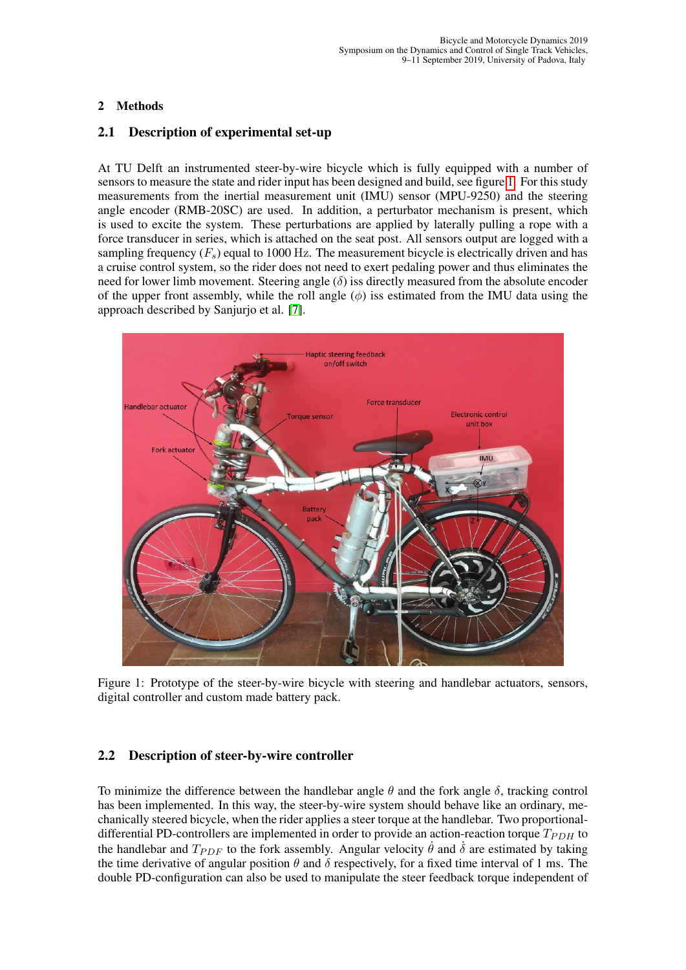# 2 Methods

# 2.1 Description of experimental set-up

At TU Delft an instrumented steer-by-wire bicycle which is fully equipped with a number of sensors to measure the state and rider input has been designed and build, see figure [1.](#page-1-0) For this study measurements from the inertial measurement unit (IMU) sensor (MPU-9250) and the steering angle encoder (RMB-20SC) are used. In addition, a perturbator mechanism is present, which is used to excite the system. These perturbations are applied by laterally pulling a rope with a force transducer in series, which is attached on the seat post. All sensors output are logged with a sampling frequency  $(F_s)$  equal to 1000 Hz. The measurement bicycle is electrically driven and has a cruise control system, so the rider does not need to exert pedaling power and thus eliminates the need for lower limb movement. Steering angle  $(\delta)$  iss directly measured from the absolute encoder of the upper front assembly, while the roll angle  $(\phi)$  iss estimated from the IMU data using the approach described by Sanjurjo et al. [\[7\]](#page-7-6).

<span id="page-1-0"></span>

Figure 1: Prototype of the steer-by-wire bicycle with steering and handlebar actuators, sensors, digital controller and custom made battery pack.

# 2.2 Description of steer-by-wire controller

To minimize the difference between the handlebar angle  $\theta$  and the fork angle  $\delta$ , tracking control has been implemented. In this way, the steer-by-wire system should behave like an ordinary, mechanically steered bicycle, when the rider applies a steer torque at the handlebar. Two proportionaldifferential PD-controllers are implemented in order to provide an action-reaction torque  $T_{PDH}$  to the handlebar and  $T_{PDF}$  to the fork assembly. Angular velocity  $\dot{\theta}$  and  $\dot{\delta}$  are estimated by taking the time derivative of angular position  $\theta$  and  $\delta$  respectively, for a fixed time interval of 1 ms. The double PD-configuration can also be used to manipulate the steer feedback torque independent of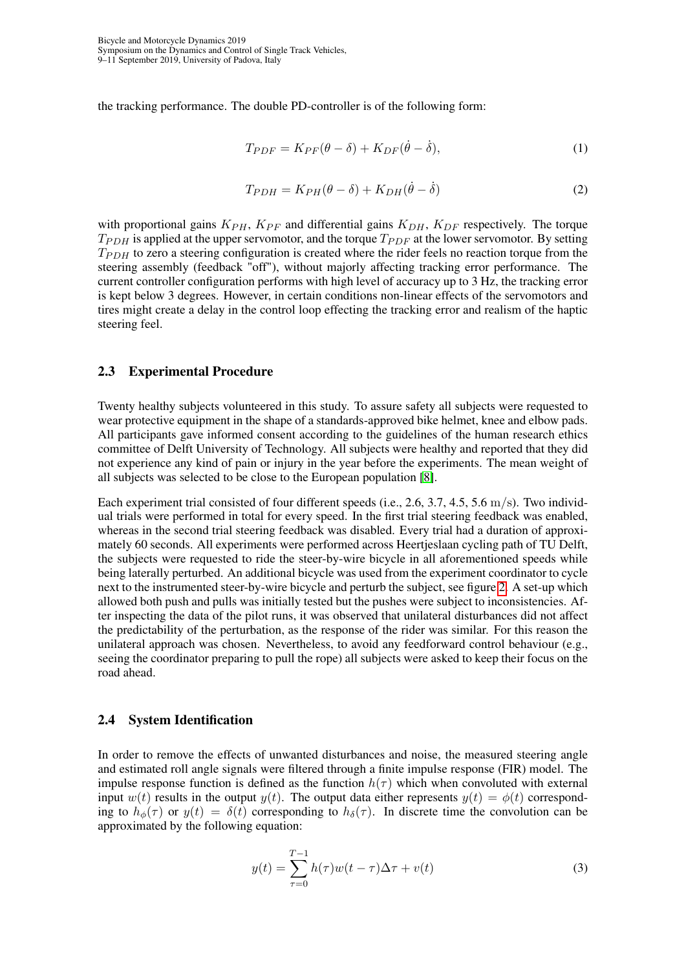the tracking performance. The double PD-controller is of the following form:

$$
T_{PDF} = K_{PF}(\theta - \delta) + K_{DF}(\dot{\theta} - \dot{\delta}),
$$
\n(1)

$$
T_{PDH} = K_{PH}(\theta - \delta) + K_{DH}(\dot{\theta} - \dot{\delta})
$$
\n(2)

with proportional gains  $K_{PH}$ ,  $K_{PF}$  and differential gains  $K_{DH}$ ,  $K_{DF}$  respectively. The torque  $T_{PDH}$  is applied at the upper servomotor, and the torque  $T_{PDF}$  at the lower servomotor. By setting  $T_{PDH}$  to zero a steering configuration is created where the rider feels no reaction torque from the steering assembly (feedback "off"), without majorly affecting tracking error performance. The current controller configuration performs with high level of accuracy up to 3 Hz, the tracking error is kept below 3 degrees. However, in certain conditions non-linear effects of the servomotors and tires might create a delay in the control loop effecting the tracking error and realism of the haptic steering feel.

#### 2.3 Experimental Procedure

Twenty healthy subjects volunteered in this study. To assure safety all subjects were requested to wear protective equipment in the shape of a standards-approved bike helmet, knee and elbow pads. All participants gave informed consent according to the guidelines of the human research ethics committee of Delft University of Technology. All subjects were healthy and reported that they did not experience any kind of pain or injury in the year before the experiments. The mean weight of all subjects was selected to be close to the European population [\[8\]](#page-7-7).

Each experiment trial consisted of four different speeds (i.e., 2.6, 3.7, 4.5, 5.6 m/s). Two individual trials were performed in total for every speed. In the first trial steering feedback was enabled, whereas in the second trial steering feedback was disabled. Every trial had a duration of approximately 60 seconds. All experiments were performed across Heertjeslaan cycling path of TU Delft, the subjects were requested to ride the steer-by-wire bicycle in all aforementioned speeds while being laterally perturbed. An additional bicycle was used from the experiment coordinator to cycle next to the instrumented steer-by-wire bicycle and perturb the subject, see figure [2.](#page-3-0) A set-up which allowed both push and pulls was initially tested but the pushes were subject to inconsistencies. After inspecting the data of the pilot runs, it was observed that unilateral disturbances did not affect the predictability of the perturbation, as the response of the rider was similar. For this reason the unilateral approach was chosen. Nevertheless, to avoid any feedforward control behaviour (e.g., seeing the coordinator preparing to pull the rope) all subjects were asked to keep their focus on the road ahead.

#### 2.4 System Identification

In order to remove the effects of unwanted disturbances and noise, the measured steering angle and estimated roll angle signals were filtered through a finite impulse response (FIR) model. The impulse response function is defined as the function  $h(\tau)$  which when convoluted with external input  $w(t)$  results in the output  $y(t)$ . The output data either represents  $y(t) = \phi(t)$  corresponding to  $h_{\phi}(\tau)$  or  $y(t) = \delta(t)$  corresponding to  $h_{\delta}(\tau)$ . In discrete time the convolution can be approximated by the following equation:

<span id="page-2-0"></span>
$$
y(t) = \sum_{\tau=0}^{T-1} h(\tau)w(t-\tau)\Delta\tau + v(t)
$$
 (3)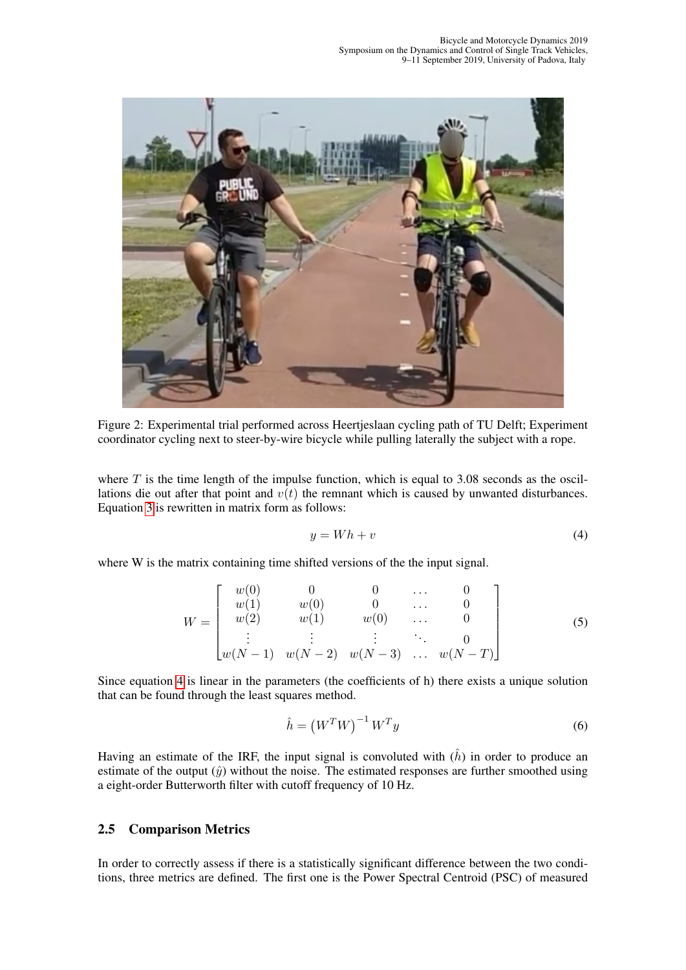<span id="page-3-0"></span>

Figure 2: Experimental trial performed across Heertjeslaan cycling path of TU Delft; Experiment coordinator cycling next to steer-by-wire bicycle while pulling laterally the subject with a rope.

where  $T$  is the time length of the impulse function, which is equal to 3.08 seconds as the oscillations die out after that point and  $v(t)$  the remnant which is caused by unwanted disturbances. Equation [3](#page-2-0) is rewritten in matrix form as follows:

<span id="page-3-1"></span>
$$
y = Wh + v \tag{4}
$$

where W is the matrix containing time shifted versions of the the input signal.

$$
W = \begin{bmatrix} w(0) & 0 & 0 & \dots & 0 \\ w(1) & w(0) & 0 & \dots & 0 \\ w(2) & w(1) & w(0) & \dots & 0 \\ \vdots & \vdots & \vdots & \ddots & 0 \\ w(N-1) & w(N-2) & w(N-3) & \dots & w(N-T) \end{bmatrix}
$$
(5)

Since equation [4](#page-3-1) is linear in the parameters (the coefficients of h) there exists a unique solution that can be found through the least squares method.

$$
\hat{h} = \left(W^T W\right)^{-1} W^T y \tag{6}
$$

Having an estimate of the IRF, the input signal is convoluted with  $(h)$  in order to produce an estimate of the output  $(\hat{y})$  without the noise. The estimated responses are further smoothed using a eight-order Butterworth filter with cutoff frequency of 10 Hz.

## 2.5 Comparison Metrics

In order to correctly assess if there is a statistically significant difference between the two conditions, three metrics are defined. The first one is the Power Spectral Centroid (PSC) of measured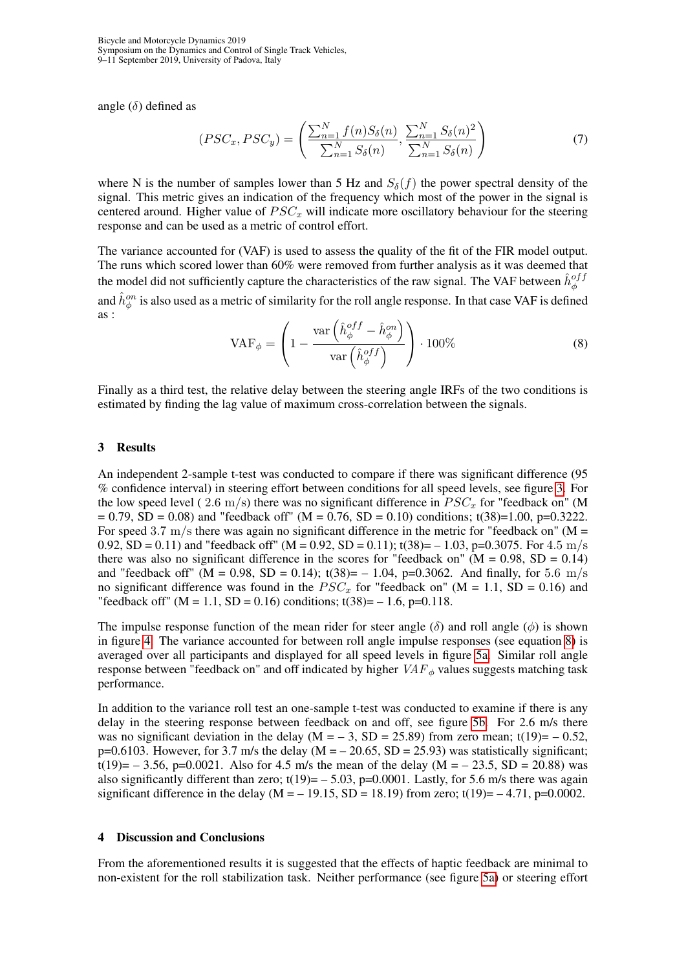Bicycle and Motorcycle Dynamics 2019 Symposium on the Dynamics and Control of Single Track Vehicles, 9–11 September 2019, University of Padova, Italy

angle  $(\delta)$  defined as

$$
(PSC_x, PSC_y) = \left(\frac{\sum_{n=1}^{N} f(n)S_{\delta}(n)}{\sum_{n=1}^{N} S_{\delta}(n)}, \frac{\sum_{n=1}^{N} S_{\delta}(n)^2}{\sum_{n=1}^{N} S_{\delta}(n)}\right)
$$
(7)

where N is the number of samples lower than 5 Hz and  $S_\delta(f)$  the power spectral density of the signal. This metric gives an indication of the frequency which most of the power in the signal is centered around. Higher value of  $PSC_x$  will indicate more oscillatory behaviour for the steering response and can be used as a metric of control effort.

<span id="page-4-0"></span>The variance accounted for (VAF) is used to assess the quality of the fit of the FIR model output. The runs which scored lower than 60% were removed from further analysis as it was deemed that the model did not sufficiently capture the characteristics of the raw signal. The VAF between  $\hat{h}_{\phi}^{off}$ and  $\hat{h}^{on}_{\phi}$  is also used as a metric of similarity for the roll angle response. In that case VAF is defined as :

$$
\text{VAF}_{\phi} = \left(1 - \frac{\text{var}\left(\hat{h}_{\phi}^{off} - \hat{h}_{\phi}^{on}\right)}{\text{var}\left(\hat{h}_{\phi}^{off}\right)}\right) \cdot 100\%
$$
\n(8)

Finally as a third test, the relative delay between the steering angle IRFs of the two conditions is estimated by finding the lag value of maximum cross-correlation between the signals.

#### 3 Results

An independent 2-sample t-test was conducted to compare if there was significant difference (95 % confidence interval) in steering effort between conditions for all speed levels, see figure [3.](#page-5-0) For the low speed level ( 2.6 m/s) there was no significant difference in  $PSC<sub>x</sub>$  for "feedback on" (M  $= 0.79$ , SD = 0.08) and "feedback off" (M = 0.76, SD = 0.10) conditions; t(38)=1.00, p=0.3222. For speed 3.7 m/s there was again no significant difference in the metric for "feedback on" ( $M =$ 0.92, SD = 0.11) and "feedback off" (M = 0.92, SD = 0.11); t(38)= - 1.03, p=0.3075. For 4.5 m/s there was also no significant difference in the scores for "feedback on" ( $M = 0.98$ ,  $SD = 0.14$ ) and "feedback off" (M = 0.98, SD = 0.14); t(38)= - 1.04, p=0.3062. And finally, for 5.6 m/s no significant difference was found in the  $PSC_x$  for "feedback on" (M = 1.1, SD = 0.16) and "feedback off" (M = 1.1, SD = 0.16) conditions; t(38)=  $-1.6$ , p=0.118.

The impulse response function of the mean rider for steer angle  $(\delta)$  and roll angle  $(\phi)$  is shown in figure [4.](#page-5-1) The variance accounted for between roll angle impulse responses (see equation [8\)](#page-4-0) is averaged over all participants and displayed for all speed levels in figure [5a.](#page-6-0) Similar roll angle response between "feedback on" and off indicated by higher  $VAF_{\phi}$  values suggests matching task performance.

In addition to the variance roll test an one-sample t-test was conducted to examine if there is any delay in the steering response between feedback on and off, see figure [5b.](#page-6-0) For 2.6 m/s there was no significant deviation in the delay  $(M = -3, SD = 25.89)$  from zero mean; t(19)= -0.52, p=0.6103. However, for 3.7 m/s the delay ( $M = -20.65$ , SD = 25.93) was statistically significant; t(19)=  $-3.56$ , p=0.0021. Also for 4.5 m/s the mean of the delay (M =  $-23.5$ , SD = 20.88) was also significantly different than zero;  $t(19) = -5.03$ ,  $p=0.0001$ . Lastly, for 5.6 m/s there was again significant difference in the delay ( $M = -19.15$ ,  $SD = 18.19$ ) from zero; t(19)= -4.71, p=0.0002.

#### 4 Discussion and Conclusions

From the aforementioned results it is suggested that the effects of haptic feedback are minimal to non-existent for the roll stabilization task. Neither performance (see figure [5a\)](#page-6-0) or steering effort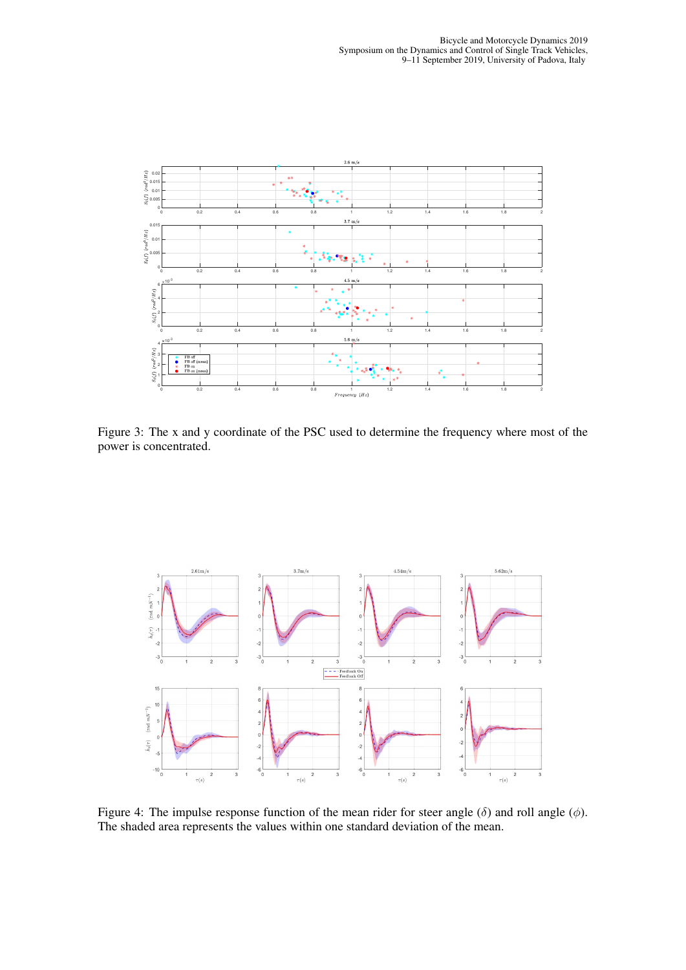<span id="page-5-0"></span>

Figure 3: The x and y coordinate of the PSC used to determine the frequency where most of the power is concentrated.

<span id="page-5-1"></span>

Figure 4: The impulse response function of the mean rider for steer angle  $(\delta)$  and roll angle  $(\phi)$ . The shaded area represents the values within one standard deviation of the mean.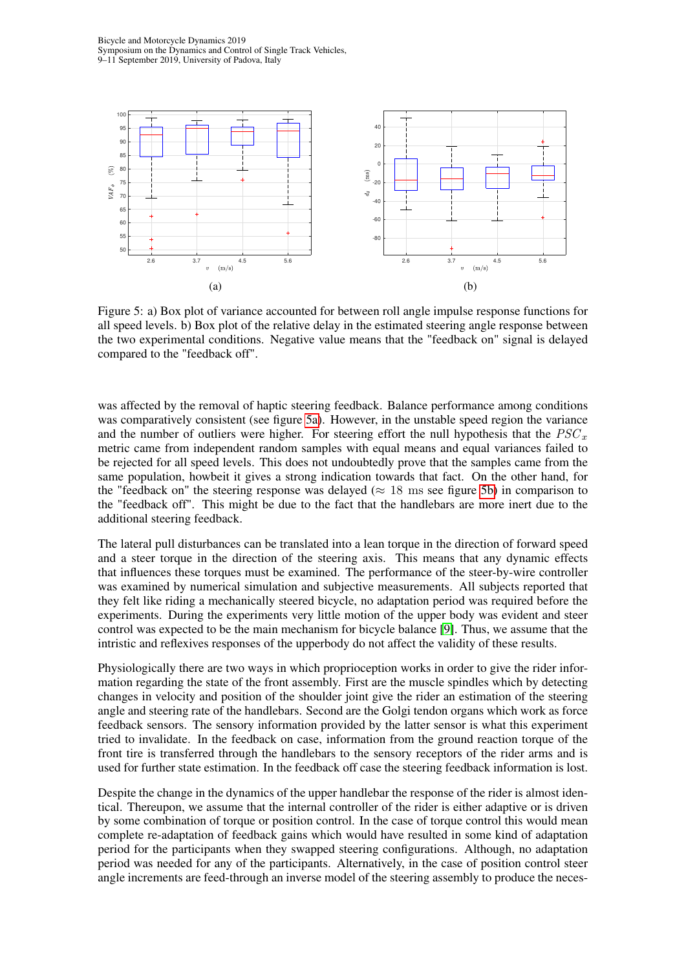Bicycle and Motorcycle Dynamics 2019 Symposium on the Dynamics and Control of Single Track Vehicles, 9–11 September 2019, University of Padova, Italy

<span id="page-6-0"></span>

Figure 5: a) Box plot of variance accounted for between roll angle impulse response functions for all speed levels. b) Box plot of the relative delay in the estimated steering angle response between the two experimental conditions. Negative value means that the "feedback on" signal is delayed compared to the "feedback off".

was affected by the removal of haptic steering feedback. Balance performance among conditions was comparatively consistent (see figure [5a\)](#page-6-0). However, in the unstable speed region the variance and the number of outliers were higher. For steering effort the null hypothesis that the  $PSC_x$ metric came from independent random samples with equal means and equal variances failed to be rejected for all speed levels. This does not undoubtedly prove that the samples came from the same population, howbeit it gives a strong indication towards that fact. On the other hand, for the "feedback on" the steering response was delayed ( $\approx 18$  ms see figure [5b\)](#page-6-0) in comparison to the "feedback off". This might be due to the fact that the handlebars are more inert due to the additional steering feedback.

The lateral pull disturbances can be translated into a lean torque in the direction of forward speed and a steer torque in the direction of the steering axis. This means that any dynamic effects that influences these torques must be examined. The performance of the steer-by-wire controller was examined by numerical simulation and subjective measurements. All subjects reported that they felt like riding a mechanically steered bicycle, no adaptation period was required before the experiments. During the experiments very little motion of the upper body was evident and steer control was expected to be the main mechanism for bicycle balance [\[9\]](#page-7-8). Thus, we assume that the intristic and reflexives responses of the upperbody do not affect the validity of these results.

Physiologically there are two ways in which proprioception works in order to give the rider information regarding the state of the front assembly. First are the muscle spindles which by detecting changes in velocity and position of the shoulder joint give the rider an estimation of the steering angle and steering rate of the handlebars. Second are the Golgi tendon organs which work as force feedback sensors. The sensory information provided by the latter sensor is what this experiment tried to invalidate. In the feedback on case, information from the ground reaction torque of the front tire is transferred through the handlebars to the sensory receptors of the rider arms and is used for further state estimation. In the feedback off case the steering feedback information is lost.

Despite the change in the dynamics of the upper handlebar the response of the rider is almost identical. Thereupon, we assume that the internal controller of the rider is either adaptive or is driven by some combination of torque or position control. In the case of torque control this would mean complete re-adaptation of feedback gains which would have resulted in some kind of adaptation period for the participants when they swapped steering configurations. Although, no adaptation period was needed for any of the participants. Alternatively, in the case of position control steer angle increments are feed-through an inverse model of the steering assembly to produce the neces